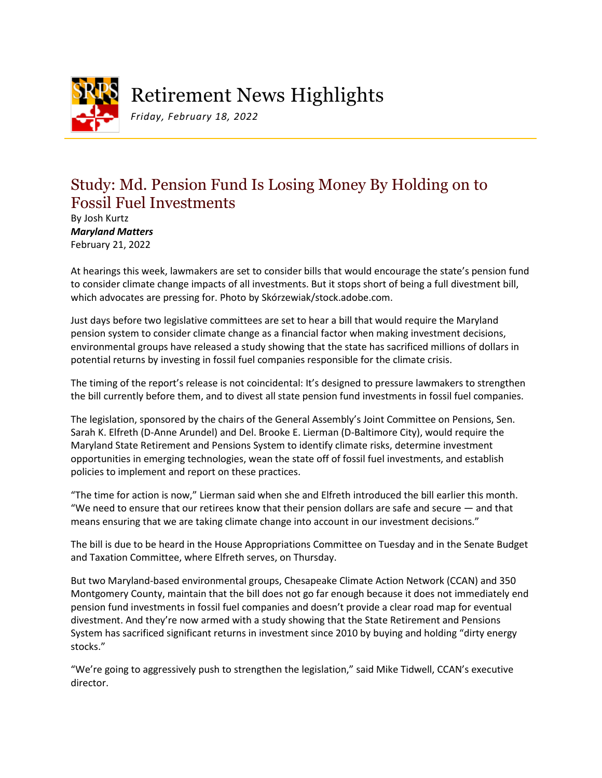

Retirement News Highlights

*Friday, February 18, 2022*

## Study: Md. Pension Fund Is Losing Money By Holding on to Fossil Fuel Investments

By Josh Kurtz *Maryland Matters* February 21, 2022

At hearings this week, lawmakers are set to consider bills that would encourage the state's pension fund to consider climate change impacts of all investments. But it stops short of being a full divestment bill, which advocates are pressing for. Photo by Skórzewiak/stock.adobe.com.

Just days before two legislative committees are set to hear a bill that would require the Maryland pension system to consider climate change as a financial factor when making investment decisions, environmental groups have released a study showing that the state has sacrificed millions of dollars in potential returns by investing in fossil fuel companies responsible for the climate crisis.

The timing of the report's release is not coincidental: It's designed to pressure lawmakers to strengthen the bill currently before them, and to divest all state pension fund investments in fossil fuel companies.

The legislation, sponsored by the chairs of the General Assembly's Joint Committee on Pensions, Sen. Sarah K. Elfreth (D-Anne Arundel) and Del. Brooke E. Lierman (D-Baltimore City), would require the Maryland State Retirement and Pensions System to identify climate risks, determine investment opportunities in emerging technologies, wean the state off of fossil fuel investments, and establish policies to implement and report on these practices.

"The time for action is now," Lierman said when she and Elfreth introduced the bill earlier this month. "We need to ensure that our retirees know that their pension dollars are safe and secure — and that means ensuring that we are taking climate change into account in our investment decisions."

The bill is due to be heard in the House Appropriations Committee on Tuesday and in the Senate Budget and Taxation Committee, where Elfreth serves, on Thursday.

But two Maryland-based environmental groups, Chesapeake Climate Action Network (CCAN) and 350 Montgomery County, maintain that the bill does not go far enough because it does not immediately end pension fund investments in fossil fuel companies and doesn't provide a clear road map for eventual divestment. And they're now armed with a study showing that the State Retirement and Pensions System has sacrificed significant returns in investment since 2010 by buying and holding "dirty energy stocks."

"We're going to aggressively push to strengthen the legislation," said Mike Tidwell, CCAN's executive director.